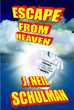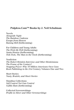#### **Pulpless.Com™ Books by J. Neil Schulman**

Novels *Alongside Night The Rainbow Cadenza Escape from Heaven Raising Hell* (forthcoming)

For Children and Young Adults *The Wish-Me Well* (forthcoming) *Santa Honica* (forthcoming) *Tick-Tock, The Man in the Clock* (forthcoming)

Nonfiction *The Robert Heinlein Interview and Other Heinleiniana The Frame of the Century? Stopping Power: Why 70 Million Americans Own Guns Book Publishing in the 21st Century,* Volumes One and Two

Short Stories *Nasty, Brutish, and Short Stories*

Omnibus Collections *Self Control Not Gun Control Gefilte Ham* (forthcoming)

Collected Screenwritings *Profile in Silver and Other Screenwritings*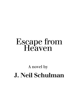# Escape from<br>Heaven

# A novel by **J. Neil Schulman**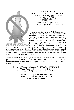

*PULPLESS. PULPLESS.COM* A Division of Duj Pepperman Enterprises 150 S. Highway 160, Suite C8, #234 Pahrump, NV 89048 Voice: (310) 839-7653 Fax: (801) 904-7851 eMail: info@pulpless.com Home Page: http://www.pulpless.com/

Copyright © 2002 by J. Neil Schulman All rights reserved. Published by arrangement with the author. Printed in the United States of America. The rights to all previously published materials by J. Neil Schulman are owned by the author, and are claimed both under existing copyright laws and natural logorights. All other materials taken from published sources without specific permission are either in the public domain or are quoted

and/or excerpted under the Fair Use Doctrine. Except for attributed quotations embedded in critical articles or reviews, no part of this book may be reproduced or utilized in any form or by any means, electronic or mechanical, including photocopying, recording, or by any information storage and retrieval system, without written permission from the publisher.

This novel is fiction. Names, characters, places, and incidents either are products of the author's imagination or are used fictitiously. Any resemblance to actual events, locales, or persons, living, dead, or immortal, is entirely coincidental.

> Library of Congress Catalog Card Number: 2001097315 Trade Paperback ISBN: 1-58445-189-0 Adobe Acrobat (PDF) Edition ISBN: 1-58445-190-4

> > Book designed by *e*and*i*Publishing.com Cover by Billy Tackett, Arcadia Studios © 2002 by Billy Tackett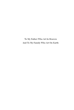To My Father Who Art In Heaven And To My Family Who Art On Earth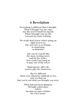#### **A Revelation**

Everything is different than I thought. What I thought was my cage was the nest I'd built for myself. What I thought was my life was just my basic training.

We really don't know what's going on right next to us. The universe is so strange, so surprising, so dramatic.

> Life can be exactly like the most exciting novel and for the writer, how could I not jump in to play one of the roles?

Shakespeare, after all, used to play his characters.

But it's different when your character suddenly is *You*, and you find out that you're not what you thought you were.

> What had just been glimpses through a dark glass before became an open window for a few hours.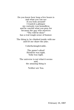Do you know how long a few hours is and what you can see if you look around? I wanted a glimpse my curiosity was boundless and be careful what you pray for because the guy who answers "Thy will be done" has a real rough sense of humor.

The thing is, he climbed inside with me and let me share the joke.

Unbefuckingleivable.

The game's afoot! Heinlein was right. Yoda was right.

The universe is not what it seems and, the amazing thing is

Neither are You.

February 18, 1997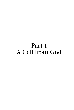# Part 1 A Call from God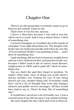## Chapter One

There's an old saying that everybody wants to go to Heaven but nobody wants to die.

That's how it was for me, anyway.

I drove a Mercedes because I was told it was the safest car in a crash. And it was a smart choice. I died of something else.

I owned a handgun so I wouldn't die at the hands of a burglar. I was right about that, too. The burglar who broke into my bedroom ran like hell when he saw the .45 Government Model I was pointing at him … and I died of something else.

I quit smoking, did my best to keep my weight down and eat a low cholesterol diet, and practiced safe sex, because I didn't want to die of cancer, heart disease, emphysema or AIDS, and it paid off: I died of something else.

You see, that's the part they forget to mention. No matter what nasty ways of dying you avoid, there's always another one waiting for you. If one thing doesn't get you, another thing will. Everybody could have saved a lot of thought that went into bumper stickers and public service messages. All they would have had to say is, "Don't do that. Die of something else."

It would have saved me a lot of trouble, too. I was a coward most of my life because I was afraid of dying.

My story begins the day I died and went to Heaven.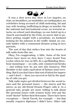

It was a slow news day. Here in Los Angeles, no riots, no brushfires, no mudslides, no earthquakes, no celebrities being accused of child molesting, hit and run, wife-beating, trafficking in drugs, or murder. On the national and international scene, no terrorist attacks, no school yard shootings, no one holed up in a church surrounded by the Feds, no movie idol or politico getting caught with a prostitute, no husband looking for his johnson in the traffic island, no custody battles with a communist dictator acting in loco parentis.

The sort of day that strikes fear into the hearts of talk radio hosts like me.

Okay, I'm exaggerating. A little. Some of the best shows have been on slow days. I once heard Tom Leykis when he was on KFI, do a spellbinding threehour monologue — no calls, only commercial breaks — just telling how he got into this business. Phil Hendrie is the radio equivalent of fantasy mud wrestling. But if you don't have that sort of talent for improv — and I don't — then you succeed or fail by the quality of calls you get.

Talk radio topics get divided between the social issues and the personal issues — the macro and the micro, as my old friend Dennis Prager calls it. As a general rule, people are more willing to talk about the personal issues with women hosts who put the word "doctor" before their first name. There have been exceptions — David Viscott, for example — but that usually requires diplomas I didn't have. Other talk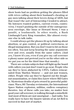show hosts had no problem getting the phones filled with wives calling about their husband's cheating or gay men talking about their lovers dying of AIDS, but that wasn't the sort of listenership I tended to attract. My listeners wanted politics, current events, controversy. I wasn't pushing the outside of the outrageousness envelope, like Imus or Howard Stern. I was a pundit, a loudmouth. In other words, a Rush Limbaugh/Larry King wannabee, like almost everyone else in talk radio.

I could always get the phones lit up by talking about abortion, or gun control, or political correctness, or illegal immigration. But you don't want to hit on those too often. You just keep hearing the same arguments over and over, usually from the same callers. (And yes, I know it's you, even if you give my call screener a phony name and pretend you're on the other side so we put you on for the third time that month.)

There are certain subjects that will light up the board with callers you just don't want to go near. People who say they've been abducted by UFO's. Callers reincarnated from Marilyn Monroe — and not just women, either. People who say they've figured out the doughnut assassination, or claim they know where Bill Gates is. Mysterious deaths of pets owned by powerful politicians. Waco, 911 Tuesday revisionists, the International Space Station explosion, militias, endless conspiracy theories. Any of these calls you take, no matter how good your call screener, is walking through a minefield. And most of them are just unoriginal — bad radio. You really have to have the bizarre talents of an Art Bell to succeed in that sort of market.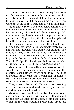I guess I was desperate. I was coming back from my first commercial break after the news, evening drive time and my second of four hours, Monday through Friday — and if you called me right now, you were not going to get a busy signal. A bad situation.

My engineer, Terry, had a cruel sense of humor. For the musical bump leading back into the show, I was hearing on my phones Frank Sinatra singing, "It's quarter to three, there's no one in the place …except you and me…" I gave Terry the finger and he grinned from the other side of a plate-glass window.

I hit the cough button to clear my throat and came in a half beat too late: "You're listening to 680 K-TALK, and I'm Duj 'Rhymes-with-Judge' Pepperman. The time is exactly 5:19. That little musical interlude is my engineer's not-so-subtle way of telling me I'm dying. So for the rest of the hour let's talk about death. The big D. Specifically, do you believe in life after death? Our number again is 1-888-55-K-TALK."

My producer, Jules, rolled her eyes heavenward. She was the one who was going to have to talk to all the assorted loose nuts who were about to call in. But it didn't take long for the video screen in front of me to start filling up with descriptions of new callers — and some of them were bound to be airworthy.

Okay, it was a cheap trick. You don't keep evening drive time in a top-rated market unless you do sheer entertainment once in a while.

My video screen said that line two had a 38-yearold woman who was having an affair with a ghost. I hit the private intercom to Jules, behind the glass. When the intercom button is pressed, my broadcast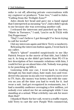mike is cut off, allowing private conversations with my engineer or producer. "Line two," I said to Jules. "Calling from the Twilight Zone?"

Jules shook her head and gave me a hand signal that I interpreted as meaning "sex"; Jules didn't speak to me because she was screening another call.

I released the intercom and punched up line two. "Marie in Torrance," I said, "you're on K-TALK with Duj Pepperman."

"Duj? I can't believe I got through! I've been trying to call for weeks!"

I hit my intercom again and blew Terry a razzberry.

Releasing the intercom button again, I went back to my caller.

Marie's "ghost" sounded suspiciously to me like Patrick Swayze in the movie of that title, but I didn't say it. As long as she didn't get hotter than PG-13 in her description of her romantic relations with him, I could let her go on about him a bit. Nobody was going to be punching up KRLA.

Listening with one ear, I went back to reading through my fan mail (okay, hate mail, too) and wondered why anyone in my job ever wanted to move over to TV. Sure, the money was better, but with the camera on you all the time you had to work for it. And wear a suit. And get recognized in restaurants, too. I had a monthly audience averaging a few million, yet nobody ever asked me for an autograph while I was standing at a urinal. What celebrity can ask for more than that?

I thanked Marie for her call, went to a traffic report, told Terry to cart the new Purple Web commercial,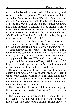then read it live while he recorded it for posterity, and returned to the live phones. My call monitor said line seven had "God" calling from "Paradise," and the subject was "Personal proof that life-after-death exists." I guessed that "God" was Jules' abbreviating Godfrey, and while Paradise, California is a few hundred miles north of our usual daytime broadcast area, we get calls from all over from satellite radio and our web cast. "Godfrey from Paradise," I said, "this is Duj Pepperman and you're on 680 K-TALK."

"Duj," said a rich baritone voice. A good radio voice. *My* voice. "This is God, calling from Heaven. I can't believe I got through. I'm one of your biggest fans!"

I immediately hit the "delete" button, but it didn't work and the call continued, "Listen, Duj, would you mind dying tonight and meeting tomorrow morning at my palace in Heaven? We need to talk privately."

I punched the intercom to Terry. "Kill line seven!" I hoped he could wipe the call before the four-second delay finished and the call went on the air.

There are words in life you never want to hear. A doctor pointing at an X-ray of your brain and saying "inoperable tumor." Calling your business manager's office and having a voice answer, "Frauds Detail, Detective Smith." Any call from your child's school that contains the word "accident."

The words that I heard next fell into that category. It was my engineer saying, "Kill what? There was no one on seven."

The primal part of me gasped. I looked at the display again. Now there was nothing on the monitor for line seven. The professional in me, trained never to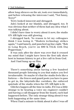allow long silences on the air, took over immediately, and before releasing the intercom I said, "Not funny, Terry!"

Terry looked innocent and shrugged.

Jules looked at me blankly, and shrugged, too. It was obvious that neither of them had any idea what I was talking about.

I didn't have time to worry about it now; the studio ON AIR light was still glowing.

I shrugged back. No reason to let my colleagues think I was losing it. "Modern technology strikes again," I said lamely, and punched up line eight. "Bob in Long Beach, you're on 680 K-TALK with Duj Pepperman."

It was only after the show was over that it crossed my mind that I might have been the first talk show host in human history to get a live call-in from God.

And I had hung up on Him.



There's something about having a few hundred thousand people listening to you that makes you feel invulnerable. Or maybe it's that the studio feels like a fortress — the fences and guard posts you have to pass to get in, the labyrinth-like corridors, the enforced quietude of the studio when the ON AIR light is lit.

Glitches happen all the time in radio. If it was a little strange to be hearing a voice my engineer couldn't and having a call disappear from the board, each had happened before. The only strange thing about it was both happening at the same time.

When I had a minute to think about it after I was off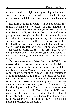the air, I decided it might be a high-tech prank of some sort — a computer virus maybe. I decided if it happened again, I'd let the station's management look into it.

The human mind is wonderful at not seeing the things it doesn't want to see. By the time I left the studio, I'd convinced myself everything was perfectly mundane. Usually you had to be that way, if you're going to get through the day. Just for example, you turned on the morning news and spent two seconds seriously wondering whether even a fraction of the terrible things you heard about could happen to you, you'd never have left the house. Not in L.A., anyway.

All things considered — as they say on the competition's show — it's amazing any of us got out of bed in the morning. Or could manage to fall asleep at night.

It's just a ten-minute drive from the K-TALK studios on Motor to my town home in Culver City. I drove into the complex through the main gate, past the empty guard shack. We used to spend a couple of thousand dollars per unit each year to keep a rotation of guards in that shack. It didn't stop a series of burglaries — and one rape — so there was a discussion at the Home Owners Association meeting. First, the board voted to demand the security firm to fire one guard, for sleeping on the job. Then a lot of ideas were batted around. One of the HOA's directors, an LAPD cop, came up with an idea that everybody laughed at until they realized he was serious. Then a few other people said, "What the hell, it couldn't hurt." The board passed a resolution, adopting it.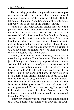The next day, posted on the guard shack, was a paper target showing the outline of a man, courtesy of our cop-in-residence. The target is riddled with bullet holes — big ones. Nobody's been broken into since and we voted to get rid of the guards entirely.

When I got in I checked my phone messages and private email. The only message was a call from my ex-wife, the rock star, reminding me that the semester's USC tuition was due. Our daughter, Felony, wants to be the next Quentin Tarantino. Before you laugh at my daughter's given name, I have it on reliable authority that, nearing the end of Felony's freshman year, my 18-year-old daughter is still a virgin. I dialed my business manager's voice mail and played my ex's message into the cordless.

You might think that, being on radio, I never had to spend a night alone. You'd be wrong. The truth is, I just didn't get all that many opportunities to meet women. I didn't have a lot of guests on my show, so I was pretty well sitting alone in a glass-enclosed room four hours a day. Then I went home to an empty town home. I don't like parties or bars, I'm terrible with pick-up lines, and I think I'd have had better luck dating the first dozen single women in the phone book than the women I'd met through classified ads, the Internet, and dating services. I'd have had better luck meeting women if I'd been "recovering," but you had to be addicted to something, first. Take my word, it's not as easy for a radio talk-show host to get dates as it looked on *Frasier*.

I knew my freezer was full but I wasn't in the mood to defrost. I jumped back in my car and onto the Rich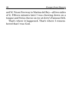ard M. Nixon Freeway to Marina del Rey—all two miles of it. Fifteen minutes later I was chowing down on a tongue and Swiss cheese on rye at Jerry's Famous Deli.

That's where it happened. That's where I remembered that I was God.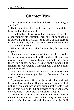### Chapter Two

Did you ever find a million dollars that you forgot you had?

That's about as close as I can come in describing how I felt at that moment.

It's not that anything around me changed physically at the moment of revelation. I was still sitting at a table in Jerry's Famous Deli. My sandwich was still in front of me. So was my glass of Dr. Brown's celery tonic and a dish of pickles.

What was different is that I wasn't Duj Pepperman anymore.

I looked around the restaurant, at the other people. I saw them for a moment on the surface; then it was as if my vision went around a corner and I was seeing them from another angle, not just on the outside, but from the inside out, and with perspective both on their past and future.

I looked at a waiter and I knew that his fondest wish at the moment was to get the part he was up for on *General Hospital*.

A young woman sitting at the next table had just been told by her doctor that she was pregnant … but not by her husband, who was sitting at the table next to her, and had no idea. She wanted to keep the baby. So would he … but only if he thought it was his.

I looked over to a trim middle-aged man with a shaved head, sitting a few tables away, an ex-army colonel who had served with distinction in the Gulf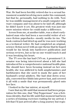War. He had been forcibly retired due to a sexual harassment scandal involving men under his command, but that he, personally, had nothing to do with. Now he was middle management of a small computer software company and was about to be laid off, although he didn't know it yet. His greatest wish was just one more mission where he could make a difference.

Across from me, at another table, was a short curlyhaired man who had been a successful writer of science-fiction paperbacks—mostly media tie-ins. The book contracts had dried up and he was now working as a technical writer. He had completed an original, science-fiction novel with an epic theme that he hoped would be his break into hardcover publication and serious reviews, but so far no one would touch it and it was breaking his heart.

The TV over the bar had CNN on. A prominent U.S. senator was being interviewed about a bill she had introduced for a comprehensive national health plan. She should have been focusing instead on her own health; she was addicted to both amphetamines and barbiturates that she used to mask the pain of her husband's serial adultery. She had shut down sexually, converted her libido into power lust, and covered it all with a smile that was permanently glued onto her face.

I looked in the bar mirror, at myself.

I saw that my life until that moment had been preparation for this one, that "Duj Pepperman" was a fictitious identity, that his life until that moment had been a series of training exercises waiting for my arrival. I felt that I'd just arrived after a long journey but regis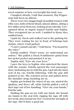tered surprise at how overweight this body was.

I laughed silently. Until that moment, Duj Pepperman had been an atheist.

There were two staggeringly beautiful women with elfin ears, both of them blond, almost albino, sitting a few tables away from me, looking at me intently. I recognized them as angels named Estella and Sophia. They recognized me as well. I nodded to them; they nodded back.

I paid my check and walked out to the parking lot. They were waiting for me in front of Sebrings hair stylists, where I had parked.

"I can't commit suicide," I told them. "I'm bound by the rules."

Estella nodded. "Don't worry, we understand our orders." She pulled a Glock 9-millimeter pistol from her jacket pocket and pointed it at me.

Sophia said, "Give me your keys."

I gave the keys to Sophia, who unlocked the doors with the remote. Estella opened the rear passenger door, motioning me in with the gun. I got into the back seat of my car, Estella following, with the gun still pointed at me. She reached across and pulled down the shoulder strap, buckling me in.

Sophia got behind the wheel of my car, started the ignition, and drove off, while Estella pulled a roll of duct tape out of her handbag. "Give me your hands," Estella said.

Holding the gun on me with one hand, she bound my hands to the seat belt, ripping the tape off with her teeth, then bound my feet. I tested the strength of the tape. She'd done a good job.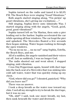Sophia turned on the radio and tuned it to KLSX FM. The Beach Boys were singing "Good Vibrations."

Both angels started singing along, "I'm pickin' up good vibrations, she's giving me excitations …"

Still singing, Sophia drove onto Admiralty Way. I started singing along with the angels, "Good, good, *good*, good vibrations!"

Sophia turned left on Via Marina, then onto a pier leading out to the harbor. Sophia accelerated the car while opening all four windows. The car leapt the pier and splashed. The Mercedes floated a few seconds then began sinking. Water began rushing in through the open windows.

"Na na na na na … na na na!" sang Sophia, Estella, the Beach Boys, and me.

All of a sudden, the angels vanished and their voices cut off. Just as suddenly, I was no longer God.

The radio shorted out and went silent. I stopped singing, mid-vibration.

I was Duj Pepperman again, bound with duct tape into the back seat of a Mercedes that was sinking into cold salt water, water that was quickly rising up my chest.

"God, where did you go?" I shouted, panicked. "Why did you leave me?"

There was no answer.

I took a deep breath as the water rose toward my chin. Used all my strength to try to break the duct tape, but it was no use.

"Oh, shit!" I said, took one more breath, my last, then sunk beneath the water and drowned.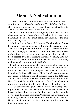## **About J. Neil Schulman**

J. Neil Schulman is the author of two Prometheus awardwinning novels, *Alongside Night* and *The Rainbow Cadenza*, short fiction, nonfiction, and screenwritings, including the CBS *Twilight Zone* episode "Profile in Silver."

His first nonfiction book was *Stopping Power: Why 70 Million Americans Own Guns*, of which Charlton Heston said, "Mr. Schulman's book is the most cogent explanation of the gun issue I have yet read."

Schulman's next book, *Self Control Not Gun Control,* was his *magnum opus* on personal, political and spiritual power.

He has been published in the *Los Angeles Times* and other national newspapers, as well as *National Review, New Libertarian, Reason, Liberty,* and other magazines. His books have been praised by Nobel laureate Milton Friedman, Anthony Burgess, Robert A. Heinlein, Colin Wilson, Walter Williams, and many other prominent individuals.

Schulman is a popular speaker on a variety of topics, and a frequent radio-talk-show guest. In 1992 he hosted and produced his own weekly radio program, broadcast on KPRO AM, Riverside, California. He was on ABC's *World News Tonight* as an expert on defensive use of firearms during the 1992 Los Angeles riots, and in 1999 was interviewed twice on the Fox News Network for the fifth anniversary of the Brown-Goldman murders, regarding his alternative theories about the crime.

J. Neil Schulman is a pioneer in electronic publishing, having founded in 1987 the first of two companies to distribute books by bestselling authors for download. He is currently developing the Julius Schulman Center for the Living Arts in Pahrump, Nevada, as a teaching and performing arts center. His personal web site is at http://jneil.tv/ and his edress is jneil@pulpless.com.